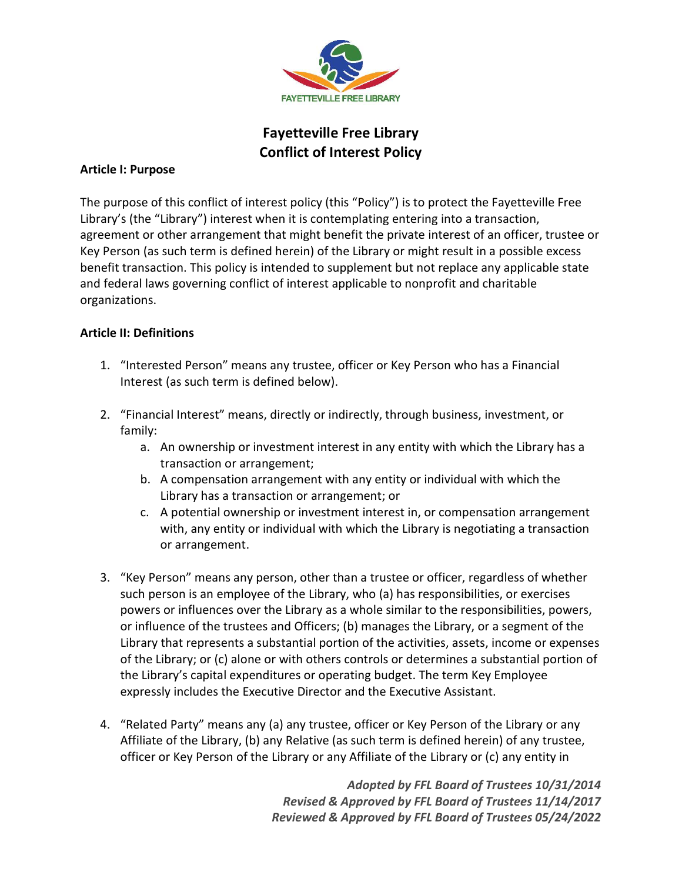

# Fayetteville Free Library Conflict of Interest Policy

## Article I: Purpose

The purpose of this conflict of interest policy (this "Policy") is to protect the Fayetteville Free Library's (the "Library") interest when it is contemplating entering into a transaction, agreement or other arrangement that might benefit the private interest of an officer, trustee or Key Person (as such term is defined herein) of the Library or might result in a possible excess benefit transaction. This policy is intended to supplement but not replace any applicable state and federal laws governing conflict of interest applicable to nonprofit and charitable organizations.

## Article II: Definitions

- 1. "Interested Person" means any trustee, officer or Key Person who has a Financial Interest (as such term is defined below).
- 2. "Financial Interest" means, directly or indirectly, through business, investment, or family:
	- a. An ownership or investment interest in any entity with which the Library has a transaction or arrangement;
	- b. A compensation arrangement with any entity or individual with which the Library has a transaction or arrangement; or
	- c. A potential ownership or investment interest in, or compensation arrangement with, any entity or individual with which the Library is negotiating a transaction or arrangement.
- 3. "Key Person" means any person, other than a trustee or officer, regardless of whether such person is an employee of the Library, who (a) has responsibilities, or exercises powers or influences over the Library as a whole similar to the responsibilities, powers, or influence of the trustees and Officers; (b) manages the Library, or a segment of the Library that represents a substantial portion of the activities, assets, income or expenses of the Library; or (c) alone or with others controls or determines a substantial portion of the Library's capital expenditures or operating budget. The term Key Employee expressly includes the Executive Director and the Executive Assistant.
- 4. "Related Party" means any (a) any trustee, officer or Key Person of the Library or any Affiliate of the Library, (b) any Relative (as such term is defined herein) of any trustee, officer or Key Person of the Library or any Affiliate of the Library or (c) any entity in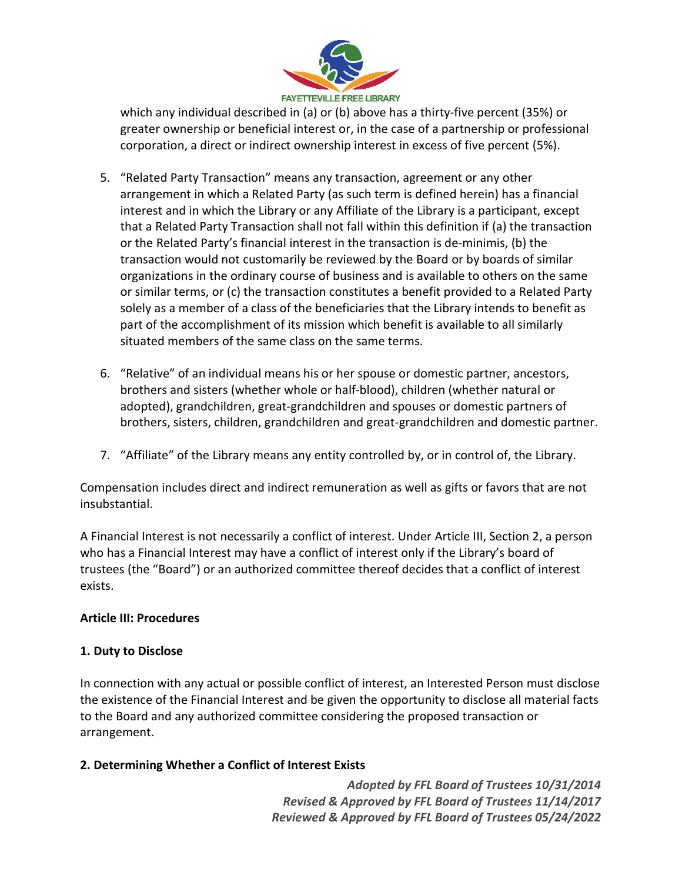

which any individual described in (a) or (b) above has a thirty-five percent (35%) or greater ownership or beneficial interest or, in the case of a partnership or professional corporation, a direct or indirect ownership interest in excess of five percent (5%).

- 5. "Related Party Transaction" means any transaction, agreement or any other arrangement in which a Related Party (as such term is defined herein) has a financial interest and in which the Library or any Affiliate of the Library is a participant, except that a Related Party Transaction shall not fall within this definition if (a) the transaction or the Related Party's financial interest in the transaction is de-minimis, (b) the transaction would not customarily be reviewed by the Board or by boards of similar organizations in the ordinary course of business and is available to others on the same or similar terms, or (c) the transaction constitutes a benefit provided to a Related Party solely as a member of a class of the beneficiaries that the Library intends to benefit as part of the accomplishment of its mission which benefit is available to all similarly situated members of the same class on the same terms.
- 6. "Relative" of an individual means his or her spouse or domestic partner, ancestors, brothers and sisters (whether whole or half-blood), children (whether natural or adopted), grandchildren, great-grandchildren and spouses or domestic partners of brothers, sisters, children, grandchildren and great-grandchildren and domestic partner.
- 7. "Affiliate" of the Library means any entity controlled by, or in control of, the Library.

Compensation includes direct and indirect remuneration as well as gifts or favors that are not insubstantial.

A Financial Interest is not necessarily a conflict of interest. Under Article III, Section 2, a person who has a Financial Interest may have a conflict of interest only if the Library's board of trustees (the "Board") or an authorized committee thereof decides that a conflict of interest exists.

# Article III: Procedures

# 1. Duty to Disclose

In connection with any actual or possible conflict of interest, an Interested Person must disclose the existence of the Financial Interest and be given the opportunity to disclose all material facts to the Board and any authorized committee considering the proposed transaction or arrangement.

# 2. Determining Whether a Conflict of Interest Exists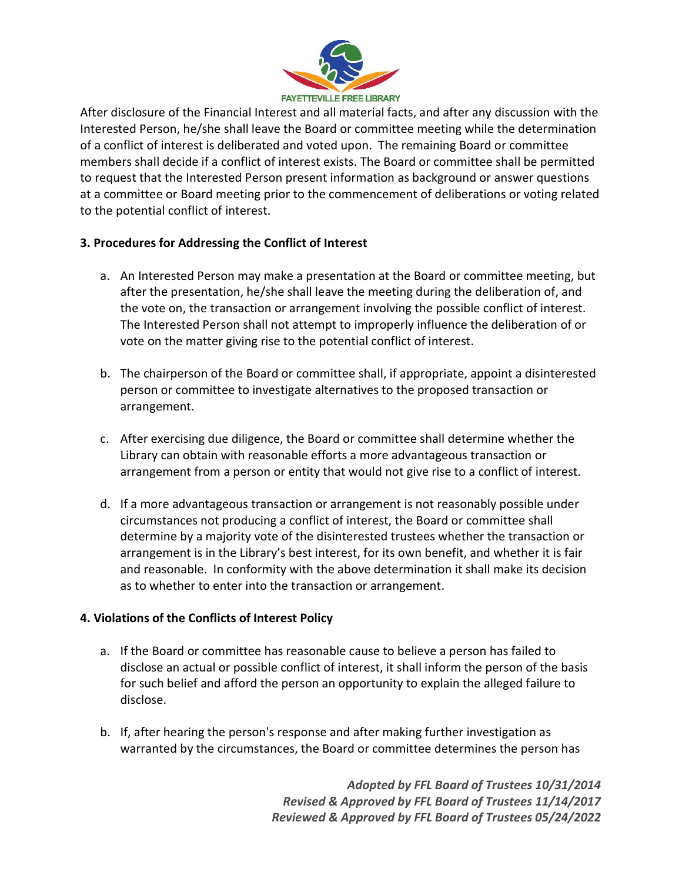

After disclosure of the Financial Interest and all material facts, and after any discussion with the Interested Person, he/she shall leave the Board or committee meeting while the determination of a conflict of interest is deliberated and voted upon. The remaining Board or committee members shall decide if a conflict of interest exists. The Board or committee shall be permitted to request that the Interested Person present information as background or answer questions at a committee or Board meeting prior to the commencement of deliberations or voting related to the potential conflict of interest.

# 3. Procedures for Addressing the Conflict of Interest

- a. An Interested Person may make a presentation at the Board or committee meeting, but after the presentation, he/she shall leave the meeting during the deliberation of, and the vote on, the transaction or arrangement involving the possible conflict of interest. The Interested Person shall not attempt to improperly influence the deliberation of or vote on the matter giving rise to the potential conflict of interest.
- b. The chairperson of the Board or committee shall, if appropriate, appoint a disinterested person or committee to investigate alternatives to the proposed transaction or arrangement.
- c. After exercising due diligence, the Board or committee shall determine whether the Library can obtain with reasonable efforts a more advantageous transaction or arrangement from a person or entity that would not give rise to a conflict of interest.
- d. If a more advantageous transaction or arrangement is not reasonably possible under circumstances not producing a conflict of interest, the Board or committee shall determine by a majority vote of the disinterested trustees whether the transaction or arrangement is in the Library's best interest, for its own benefit, and whether it is fair and reasonable. In conformity with the above determination it shall make its decision as to whether to enter into the transaction or arrangement.

#### 4. Violations of the Conflicts of Interest Policy

- a. If the Board or committee has reasonable cause to believe a person has failed to disclose an actual or possible conflict of interest, it shall inform the person of the basis for such belief and afford the person an opportunity to explain the alleged failure to disclose.
- b. If, after hearing the person's response and after making further investigation as warranted by the circumstances, the Board or committee determines the person has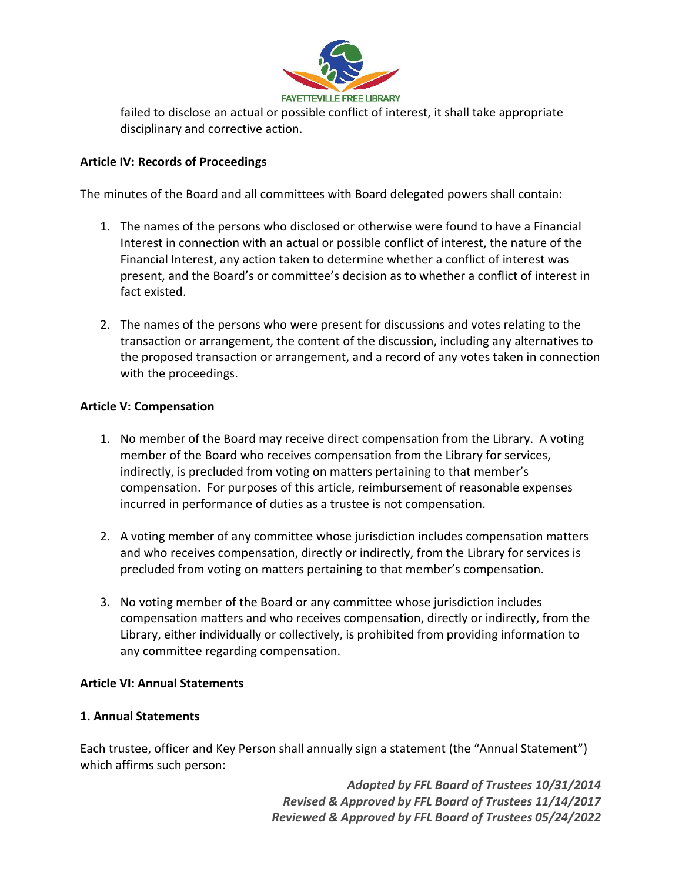

failed to disclose an actual or possible conflict of interest, it shall take appropriate disciplinary and corrective action.

## Article IV: Records of Proceedings

The minutes of the Board and all committees with Board delegated powers shall contain:

- 1. The names of the persons who disclosed or otherwise were found to have a Financial Interest in connection with an actual or possible conflict of interest, the nature of the Financial Interest, any action taken to determine whether a conflict of interest was present, and the Board's or committee's decision as to whether a conflict of interest in fact existed.
- 2. The names of the persons who were present for discussions and votes relating to the transaction or arrangement, the content of the discussion, including any alternatives to the proposed transaction or arrangement, and a record of any votes taken in connection with the proceedings.

#### Article V: Compensation

- 1. No member of the Board may receive direct compensation from the Library. A voting member of the Board who receives compensation from the Library for services, indirectly, is precluded from voting on matters pertaining to that member's compensation. For purposes of this article, reimbursement of reasonable expenses incurred in performance of duties as a trustee is not compensation.
- 2. A voting member of any committee whose jurisdiction includes compensation matters and who receives compensation, directly or indirectly, from the Library for services is precluded from voting on matters pertaining to that member's compensation.
- 3. No voting member of the Board or any committee whose jurisdiction includes compensation matters and who receives compensation, directly or indirectly, from the Library, either individually or collectively, is prohibited from providing information to any committee regarding compensation.

## Article VI: Annual Statements

#### 1. Annual Statements

Each trustee, officer and Key Person shall annually sign a statement (the "Annual Statement") which affirms such person: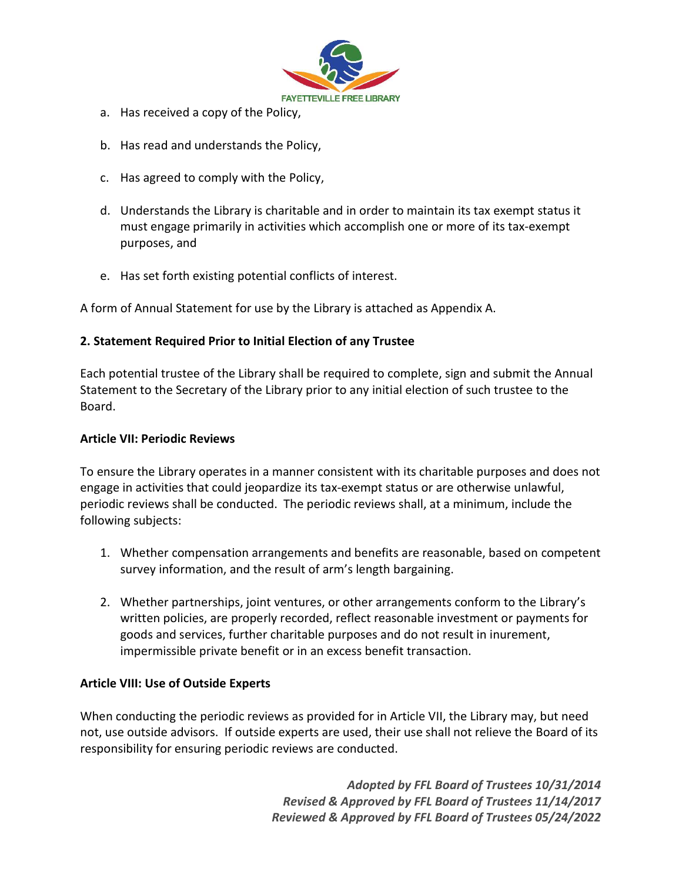

- a. Has received a copy of the Policy,
- b. Has read and understands the Policy,
- c. Has agreed to comply with the Policy,
- d. Understands the Library is charitable and in order to maintain its tax exempt status it must engage primarily in activities which accomplish one or more of its tax-exempt purposes, and
- e. Has set forth existing potential conflicts of interest.

A form of Annual Statement for use by the Library is attached as Appendix A.

## 2. Statement Required Prior to Initial Election of any Trustee

Each potential trustee of the Library shall be required to complete, sign and submit the Annual Statement to the Secretary of the Library prior to any initial election of such trustee to the Board.

#### Article VII: Periodic Reviews

To ensure the Library operates in a manner consistent with its charitable purposes and does not engage in activities that could jeopardize its tax-exempt status or are otherwise unlawful, periodic reviews shall be conducted. The periodic reviews shall, at a minimum, include the following subjects:

- 1. Whether compensation arrangements and benefits are reasonable, based on competent survey information, and the result of arm's length bargaining.
- 2. Whether partnerships, joint ventures, or other arrangements conform to the Library's written policies, are properly recorded, reflect reasonable investment or payments for goods and services, further charitable purposes and do not result in inurement, impermissible private benefit or in an excess benefit transaction.

#### Article VIII: Use of Outside Experts

When conducting the periodic reviews as provided for in Article VII, the Library may, but need not, use outside advisors. If outside experts are used, their use shall not relieve the Board of its responsibility for ensuring periodic reviews are conducted.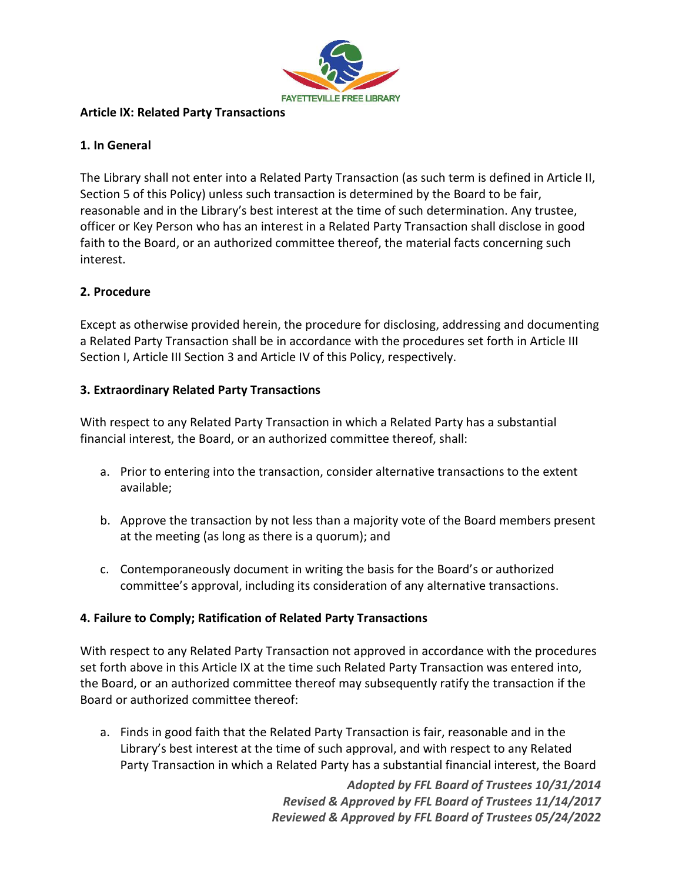

## Article IX: Related Party Transactions

# 1. In General

The Library shall not enter into a Related Party Transaction (as such term is defined in Article II, Section 5 of this Policy) unless such transaction is determined by the Board to be fair, reasonable and in the Library's best interest at the time of such determination. Any trustee, officer or Key Person who has an interest in a Related Party Transaction shall disclose in good faith to the Board, or an authorized committee thereof, the material facts concerning such interest.

# 2. Procedure

Except as otherwise provided herein, the procedure for disclosing, addressing and documenting a Related Party Transaction shall be in accordance with the procedures set forth in Article III Section I, Article III Section 3 and Article IV of this Policy, respectively.

# 3. Extraordinary Related Party Transactions

With respect to any Related Party Transaction in which a Related Party has a substantial financial interest, the Board, or an authorized committee thereof, shall:

- a. Prior to entering into the transaction, consider alternative transactions to the extent available;
- b. Approve the transaction by not less than a majority vote of the Board members present at the meeting (as long as there is a quorum); and
- c. Contemporaneously document in writing the basis for the Board's or authorized committee's approval, including its consideration of any alternative transactions.

# 4. Failure to Comply; Ratification of Related Party Transactions

With respect to any Related Party Transaction not approved in accordance with the procedures set forth above in this Article IX at the time such Related Party Transaction was entered into, the Board, or an authorized committee thereof may subsequently ratify the transaction if the Board or authorized committee thereof:

a. Finds in good faith that the Related Party Transaction is fair, reasonable and in the Library's best interest at the time of such approval, and with respect to any Related Party Transaction in which a Related Party has a substantial financial interest, the Board